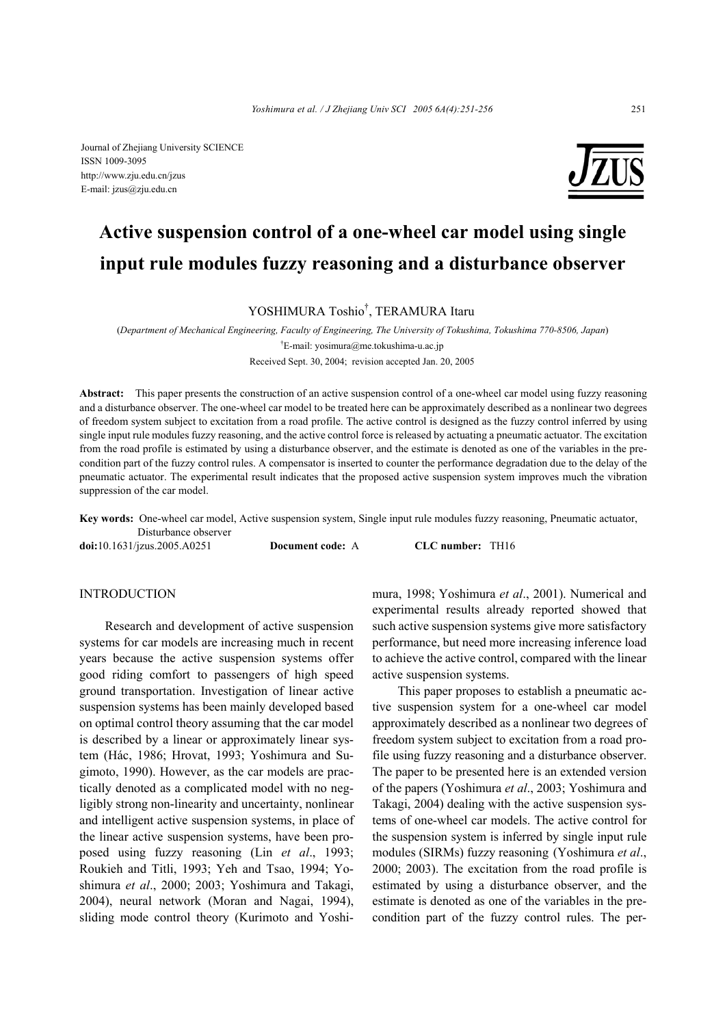Journal of Zhejiang University SCIENCE ISSN 1009-3095 http://www.zju.edu.cn/jzus E-mail: jzus@zju.edu.cn



# **Active suspension control of a one-wheel car model using single input rule modules fuzzy reasoning and a disturbance observer**

YOSHIMURA Toshio† , TERAMURA Itaru

(*Department of Mechanical Engineering, Faculty of Engineering, The University of Tokushima, Tokushima 770-8506, Japan*) † E-mail: yosimura@me.tokushima-u.ac.jp

Received Sept. 30, 2004; revision accepted Jan. 20, 2005

**Abstract:** This paper presents the construction of an active suspension control of a one-wheel car model using fuzzy reasoning and a disturbance observer. The one-wheel car model to be treated here can be approximately described as a nonlinear two degrees of freedom system subject to excitation from a road profile. The active control is designed as the fuzzy control inferred by using single input rule modules fuzzy reasoning, and the active control force is released by actuating a pneumatic actuator. The excitation from the road profile is estimated by using a disturbance observer, and the estimate is denoted as one of the variables in the precondition part of the fuzzy control rules. A compensator is inserted to counter the performance degradation due to the delay of the pneumatic actuator. The experimental result indicates that the proposed active suspension system improves much the vibration suppression of the car model.

**Key words:** One-wheel car model, Active suspension system, Single input rule modules fuzzy reasoning, Pneumatic actuator, Disturbance observer

**doi:**10.1631/jzus.2005.A0251 **Document code:** A **CLC number:** TH16

# INTRODUCTION

Research and development of active suspension systems for car models are increasing much in recent years because the active suspension systems offer good riding comfort to passengers of high speed ground transportation. Investigation of linear active suspension systems has been mainly developed based on optimal control theory assuming that the car model is described by a linear or approximately linear system (Hác, 1986; Hrovat, 1993; Yoshimura and Sugimoto, 1990). However, as the car models are practically denoted as a complicated model with no negligibly strong non-linearity and uncertainty, nonlinear and intelligent active suspension systems, in place of the linear active suspension systems, have been proposed using fuzzy reasoning (Lin *et al*., 1993; Roukieh and Titli, 1993; Yeh and Tsao, 1994; Yoshimura *et al*., 2000; 2003; Yoshimura and Takagi, 2004), neural network (Moran and Nagai, 1994), sliding mode control theory (Kurimoto and Yoshimura, 1998; Yoshimura *et al*., 2001). Numerical and experimental results already reported showed that such active suspension systems give more satisfactory performance, but need more increasing inference load to achieve the active control, compared with the linear active suspension systems.

This paper proposes to establish a pneumatic active suspension system for a one-wheel car model approximately described as a nonlinear two degrees of freedom system subject to excitation from a road profile using fuzzy reasoning and a disturbance observer. The paper to be presented here is an extended version of the papers (Yoshimura *et al*., 2003; Yoshimura and Takagi, 2004) dealing with the active suspension systems of one-wheel car models. The active control for the suspension system is inferred by single input rule modules (SIRMs) fuzzy reasoning (Yoshimura *et al*., 2000; 2003). The excitation from the road profile is estimated by using a disturbance observer, and the estimate is denoted as one of the variables in the precondition part of the fuzzy control rules. The per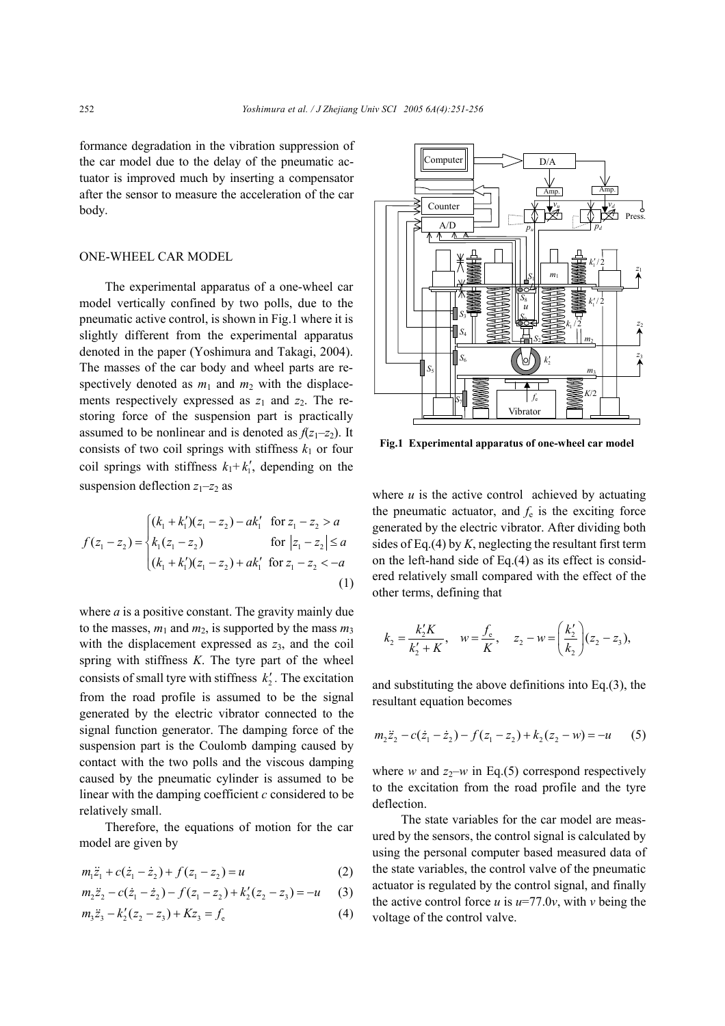formance degradation in the vibration suppression of the car model due to the delay of the pneumatic actuator is improved much by inserting a compensator after the sensor to measure the acceleration of the car body.

# ONE-WHEEL CAR MODEL

The experimental apparatus of a one-wheel car model vertically confined by two polls, due to the pneumatic active control, is shown in Fig.1 where it is slightly different from the experimental apparatus denoted in the paper (Yoshimura and Takagi, 2004). The masses of the car body and wheel parts are respectively denoted as  $m_1$  and  $m_2$  with the displacements respectively expressed as  $z_1$  and  $z_2$ . The restoring force of the suspension part is practically assumed to be nonlinear and is denoted as  $f(z_1-z_2)$ . It consists of two coil springs with stiffness  $k_1$  or four coil springs with stiffness  $k_1 + k'_1$ , depending on the suspension deflection  $z_1$ – $z_2$  as

$$
f(z_1 - z_2) = \begin{cases} (k_1 + k_1')(z_1 - z_2) - ak_1' & \text{for } z_1 - z_2 > a \\ k_1(z_1 - z_2) & \text{for } |z_1 - z_2| \le a \\ (k_1 + k_1')(z_1 - z_2) + ak_1' & \text{for } z_1 - z_2 < -a \end{cases}
$$
(1)

where *a* is a positive constant. The gravity mainly due to the masses,  $m_1$  and  $m_2$ , is supported by the mass  $m_3$ with the displacement expressed as *z*3, and the coil spring with stiffness *K*. The tyre part of the wheel consists of small tyre with stiffness  $k'$ . The excitation from the road profile is assumed to be the signal generated by the electric vibrator connected to the signal function generator. The damping force of the suspension part is the Coulomb damping caused by contact with the two polls and the viscous damping caused by the pneumatic cylinder is assumed to be linear with the damping coefficient *c* considered to be relatively small.

Therefore, the equations of motion for the car model are given by

$$
m_1\ddot{z}_1 + c(\dot{z}_1 - \dot{z}_2) + f(z_1 - z_2) = u \tag{2}
$$

$$
m_2\ddot{z}_2 - c(\dot{z}_1 - \dot{z}_2) - f(z_1 - z_2) + k'_2(z_2 - z_3) = -u \quad (3)
$$

$$
m_3\ddot{z}_3 - k_2'(z_2 - z_3) + Kz_3 = f_e \tag{4}
$$



**Fig.1 Experimental apparatus of one-wheel car model** 

where  $u$  is the active control achieved by actuating the pneumatic actuator, and  $f_e$  is the exciting force generated by the electric vibrator. After dividing both sides of Eq.(4) by *K*, neglecting the resultant first term on the left-hand side of Eq.(4) as its effect is considered relatively small compared with the effect of the other terms, defining that

$$
k_2 = \frac{k'_2 K}{k'_2 + K}
$$
,  $w = \frac{f_e}{K}$ ,  $z_2 - w = \left(\frac{k'_2}{k_2}\right)(z_2 - z_3)$ ,

and substituting the above definitions into Eq.(3), the resultant equation becomes

$$
m_2\ddot{z}_2 - c(\dot{z}_1 - \dot{z}_2) - f(z_1 - z_2) + k_2(z_2 - w) = -u \qquad (5)
$$

where *w* and  $z_2-w$  in Eq.(5) correspond respectively to the excitation from the road profile and the tyre deflection.

 The state variables for the car model are measured by the sensors, the control signal is calculated by using the personal computer based measured data of the state variables, the control valve of the pneumatic actuator is regulated by the control signal, and finally the active control force *u* is  $u=77.0v$ , with *v* being the voltage of the control valve.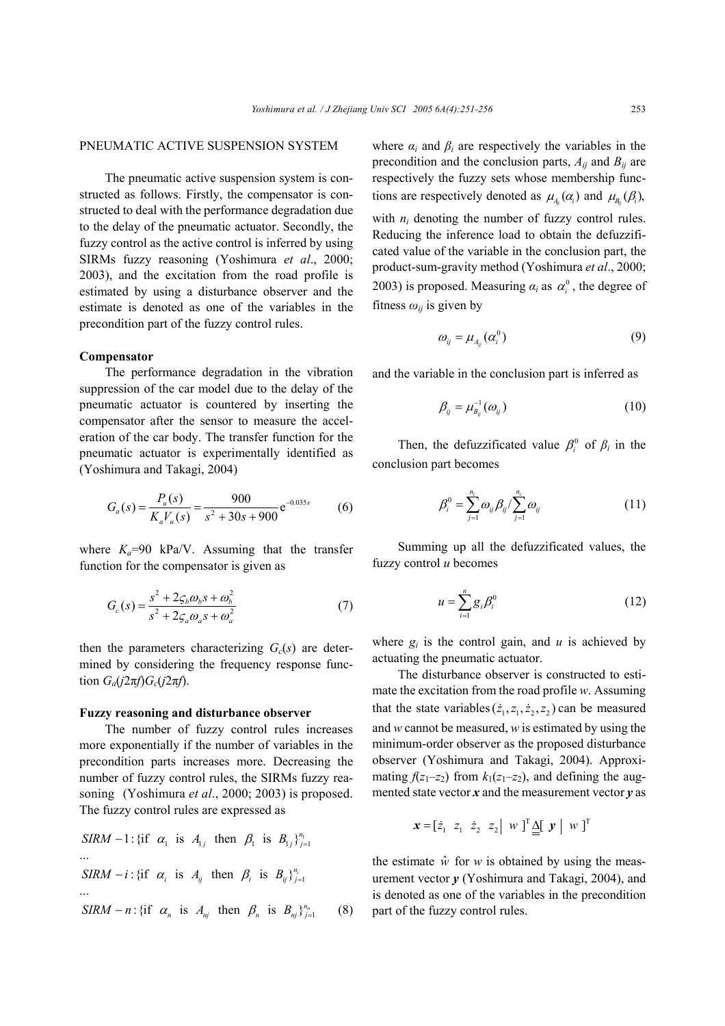#### PNEUMATIC ACTIVE SUSPENSION SYSTEM

The pneumatic active suspension system is constructed as follows. Firstly, the compensator is constructed to deal with the performance degradation due to the delay of the pneumatic actuator. Secondly, the fuzzy control as the active control is inferred by using SIRMs fuzzy reasoning (Yoshimura *et al*., 2000; 2003), and the excitation from the road profile is estimated by using a disturbance observer and the estimate is denoted as one of the variables in the precondition part of the fuzzy control rules.

#### **Compensator**

The performance degradation in the vibration suppression of the car model due to the delay of the pneumatic actuator is countered by inserting the compensator after the sensor to measure the acceleration of the car body. The transfer function for the pneumatic actuator is experimentally identified as (Yoshimura and Takagi, 2004)

$$
G_a(s) = \frac{P_u(s)}{K_a V_u(s)} = \frac{900}{s^2 + 30s + 900} e^{-0.035s}
$$
 (6)

where  $K_a=90$  kPa/V. Assuming that the transfer function for the compensator is given as

$$
G_c(s) = \frac{s^2 + 2\varsigma_b \omega_b s + \omega_b^2}{s^2 + 2\varsigma_a \omega_a s + \omega_a^2}
$$
 (7)

then the parameters characterizing  $G_c(s)$  are determined by considering the frequency response function  $G_a(i2\pi f)G_c(i2\pi f)$ .

#### **Fuzzy reasoning and disturbance observer**

The number of fuzzy control rules increases more exponentially if the number of variables in the precondition parts increases more. Decreasing the number of fuzzy control rules, the SIRMs fuzzy reasoning (Yoshimura *et al*., 2000; 2003) is proposed. The fuzzy control rules are expressed as

SIRM -1: {if 
$$
\alpha_1
$$
 is  $A_{1j}$  then  $\beta_1$  is  $B_{1j}$ }<sup>n\_1</sup><sub>j=1</sub>  
...  
SIRM -i: {if  $\alpha_i$  is  $A_{ij}$  then  $\beta_i$  is  $B_{ij}$ }<sup>n\_i</sup><sub>j=1</sub>  
...  
SIRM -n: {if  $\alpha_n$  is  $A_{nj}$  then  $\beta_n$  is  $B_{nj}$ }<sup>n\_n</sup><sub>j=1</sub> (8)

where  $\alpha_i$  and  $\beta_i$  are respectively the variables in the precondition and the conclusion parts,  $A_{ij}$  and  $B_{ij}$  are respectively the fuzzy sets whose membership functions are respectively denoted as  $\mu_A(\alpha_i)$  and  $\mu_B(\beta_i)$ , with  $n_i$  denoting the number of fuzzy control rules. Reducing the inference load to obtain the defuzzificated value of the variable in the conclusion part, the product-sum-gravity method (Yoshimura *et al*., 2000; 2003) is proposed. Measuring  $\alpha_i$  as  $\alpha_i^0$ , the degree of fitness  $\omega_{ij}$  is given by

$$
\omega_{ij} = \mu_{A_{ij}}(\alpha_i^0) \tag{9}
$$

and the variable in the conclusion part is inferred as

$$
\beta_{ij} = \mu_{B_{ij}}^{-1}(\omega_{ij})
$$
\n(10)

Then, the defuzzificated value  $\beta_i^0$  of  $\beta_i$  in the conclusion part becomes

$$
\beta_i^0 = \sum_{j=1}^{n_i} \omega_{ij} \beta_{ij} / \sum_{j=1}^{n_i} \omega_{ij}
$$
 (11)

Summing up all the defuzzificated values, the fuzzy control *u* becomes

$$
u = \sum_{i=1}^{n} g_i \beta_i^0
$$
 (12)

where  $g_i$  is the control gain, and  $u$  is achieved by actuating the pneumatic actuator.

The disturbance observer is constructed to estimate the excitation from the road profile *w*. Assuming that the state variables  $(\dot{z}_1, z_1, \dot{z}_2, z_2)$  can be measured and *w* cannot be measured, *w* is estimated by using the minimum-order observer as the proposed disturbance observer (Yoshimura and Takagi, 2004). Approximating  $f(z_1-z_2)$  from  $k_1(z_1-z_2)$ , and defining the augmented state vector  $\boldsymbol{x}$  and the measurement vector  $\boldsymbol{y}$  as

$$
\boldsymbol{x} = \begin{bmatrix} \dot{z}_1 & z_1 & \dot{z}_2 & z_2 \end{bmatrix} \ \boldsymbol{w} \ \boldsymbol{v} \begin{bmatrix} \Delta & \boldsymbol{v} \end{bmatrix} \ \boldsymbol{w} \ \boldsymbol{v} \end{bmatrix}^{\mathrm{T}}
$$

the estimate  $\hat{w}$  for *w* is obtained by using the measurement vector *y* (Yoshimura and Takagi, 2004), and is denoted as one of the variables in the precondition part of the fuzzy control rules.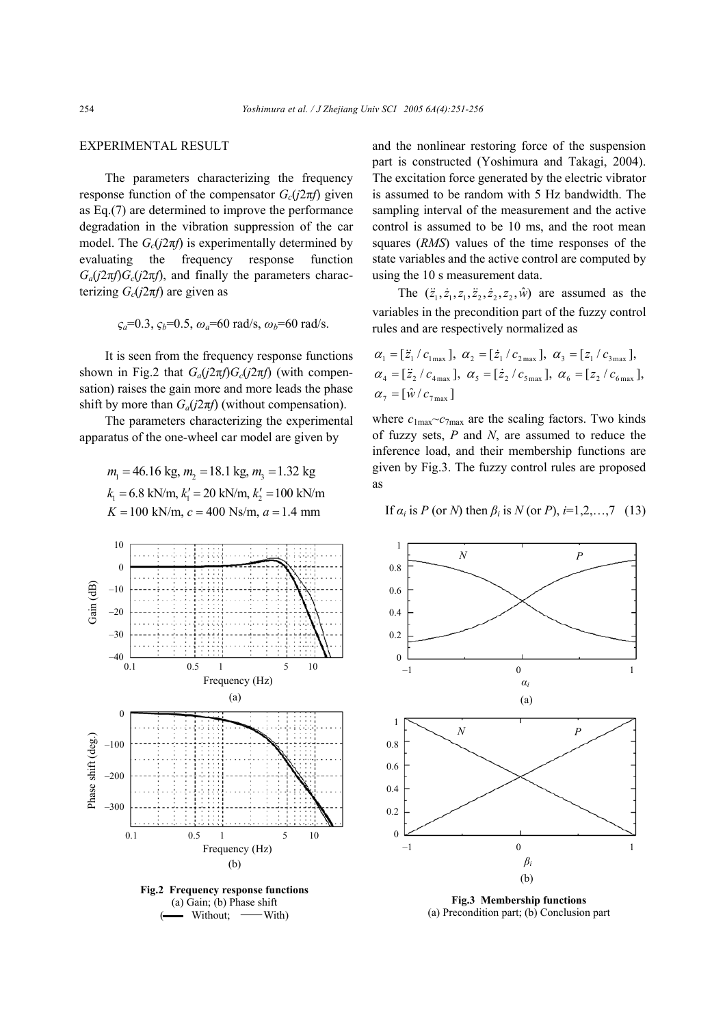## EXPERIMENTAL RESULT

The parameters characterizing the frequency response function of the compensator  $G_c(i2\pi f)$  given as Eq.(7) are determined to improve the performance degradation in the vibration suppression of the car model. The  $G_c(i2\pi f)$  is experimentally determined by evaluating the frequency response function  $G_a(i2\pi f)G_c(i2\pi f)$ , and finally the parameters characterizing  $G_c$ ( $j$ 2π $f$ ) are given as

$$
\varsigma_a=0.3
$$
,  $\varsigma_b=0.5$ ,  $\omega_a=60$  rad/s,  $\omega_b=60$  rad/s.

It is seen from the frequency response functions shown in Fig.2 that  $G_a(i2\pi f)G_c(i2\pi f)$  (with compensation) raises the gain more and more leads the phase shift by more than *Ga*(*j*2π*f*) (without compensation).

The parameters characterizing the experimental apparatus of the one-wheel car model are given by

 $m_1 = 46.16$  kg,  $m_2 = 18.1$  kg,  $m_3 = 1.32$  kg  $k_1 = 6.8$  kN/m,  $k_1' = 20$  kN/m,  $k_2' = 100$  kN/m  $K = 100$  kN/m,  $c = 400$  Ns/m,  $a = 1.4$  mm



(a) Gain; (b) Phase shift - Without;  $-\text{With}$ 

and the nonlinear restoring force of the suspension part is constructed (Yoshimura and Takagi, 2004). The excitation force generated by the electric vibrator is assumed to be random with 5 Hz bandwidth. The sampling interval of the measurement and the active control is assumed to be 10 ms, and the root mean squares (*RMS*) values of the time responses of the state variables and the active control are computed by using the 10 s measurement data.

The  $(\ddot{z}_1, \dot{z}_1, z_1, \ddot{z}_2, \dot{z}_2, z_2, \hat{w})$  are assumed as the variables in the precondition part of the fuzzy control rules and are respectively normalized as

$$
\alpha_1 = [\dot{z}_1 / c_{1\text{max}}], \ \alpha_2 = [\dot{z}_1 / c_{2\text{max}}], \ \alpha_3 = [\dot{z}_1 / c_{3\text{max}}],
$$
  
\n
$$
\alpha_4 = [\dot{z}_2 / c_{4\text{max}}], \ \alpha_5 = [\dot{z}_2 / c_{5\text{max}}], \ \alpha_6 = [\dot{z}_2 / c_{6\text{max}}],
$$
  
\n
$$
\alpha_7 = [\hat{w} / c_{7\text{max}}]
$$

where  $c_{1\text{max}} \sim c_{7\text{max}}$  are the scaling factors. Two kinds of fuzzy sets, *P* and *N*, are assumed to reduce the inference load, and their membership functions are given by Fig.3. The fuzzy control rules are proposed as

#### If  $\alpha_i$  is *P* (or *N*) then  $\beta_i$  is *N* (or *P*),  $i=1,2,...,7$  (13)



**Fig.3 Membership functions**  (a) Precondition part; (b) Conclusion part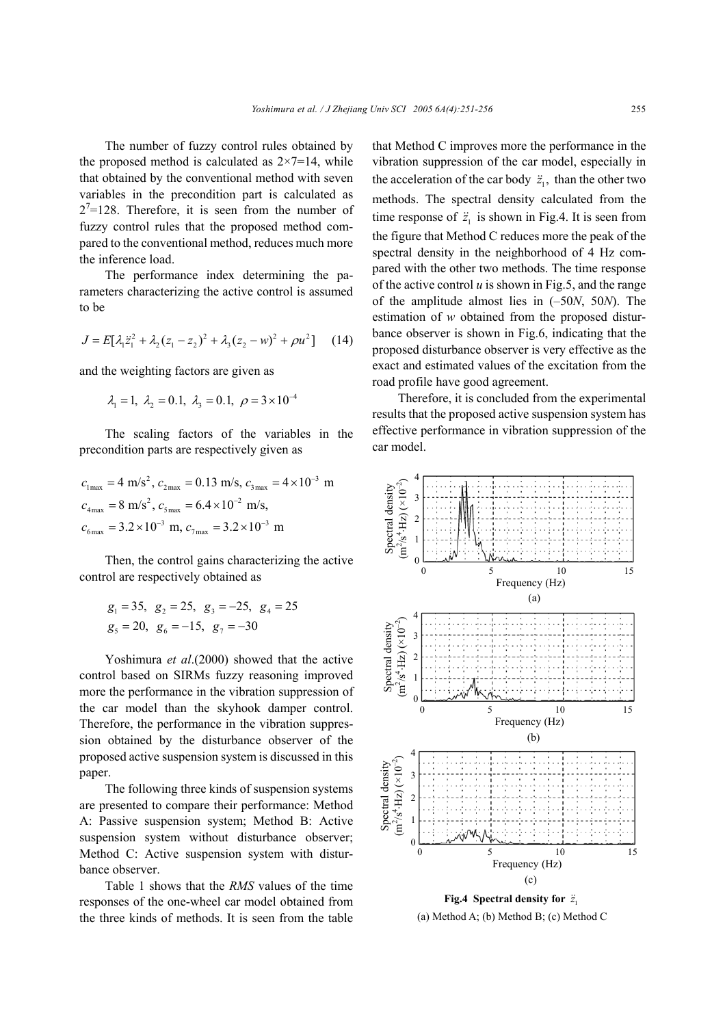The number of fuzzy control rules obtained by the proposed method is calculated as  $2\times7=14$ , while that obtained by the conventional method with seven variables in the precondition part is calculated as  $2<sup>7</sup>=128$ . Therefore, it is seen from the number of fuzzy control rules that the proposed method compared to the conventional method, reduces much more the inference load.

The performance index determining the parameters characterizing the active control is assumed to be

$$
J = E[\lambda_1 \ddot{z}_1^2 + \lambda_2 (z_1 - z_2)^2 + \lambda_3 (z_2 - w)^2 + \rho u^2] \qquad (14)
$$

and the weighting factors are given as

$$
\lambda_1 = 1, \lambda_2 = 0.1, \lambda_3 = 0.1, \rho = 3 \times 10^{-4}
$$

The scaling factors of the variables in the precondition parts are respectively given as

$$
c_{1\text{max}} = 4 \text{ m/s}^2, c_{2\text{max}} = 0.13 \text{ m/s}, c_{3\text{max}} = 4 \times 10^{-3} \text{ m}
$$
  

$$
c_{4\text{max}} = 8 \text{ m/s}^2, c_{5\text{max}} = 6.4 \times 10^{-2} \text{ m/s},
$$
  

$$
c_{6\text{max}} = 3.2 \times 10^{-3} \text{ m}, c_{7\text{max}} = 3.2 \times 10^{-3} \text{ m}
$$

Then, the control gains characterizing the active control are respectively obtained as

$$
g_1 = 35
$$
,  $g_2 = 25$ ,  $g_3 = -25$ ,  $g_4 = 25$   
 $g_5 = 20$ ,  $g_6 = -15$ ,  $g_7 = -30$ 

Yoshimura *et al*.(2000) showed that the active control based on SIRMs fuzzy reasoning improved more the performance in the vibration suppression of the car model than the skyhook damper control. Therefore, the performance in the vibration suppression obtained by the disturbance observer of the proposed active suspension system is discussed in this paper.

The following three kinds of suspension systems are presented to compare their performance: Method A: Passive suspension system; Method B: Active suspension system without disturbance observer; Method C: Active suspension system with disturbance observer.

Table 1 shows that the *RMS* values of the time responses of the one-wheel car model obtained from the three kinds of methods. It is seen from the table that Method C improves more the performance in the vibration suppression of the car model, especially in the acceleration of the car body  $\ddot{z}$ , than the other two methods. The spectral density calculated from the time response of  $\ddot{z}_1$  is shown in Fig.4. It is seen from the figure that Method C reduces more the peak of the spectral density in the neighborhood of 4 Hz compared with the other two methods. The time response of the active control  $u$  is shown in Fig.5, and the range of the amplitude almost lies in (–50*N*, 50*N*). The estimation of *w* obtained from the proposed disturbance observer is shown in Fig.6, indicating that the proposed disturbance observer is very effective as the exact and estimated values of the excitation from the road profile have good agreement.

Therefore, it is concluded from the experimental results that the proposed active suspension system has effective performance in vibration suppression of the car model.